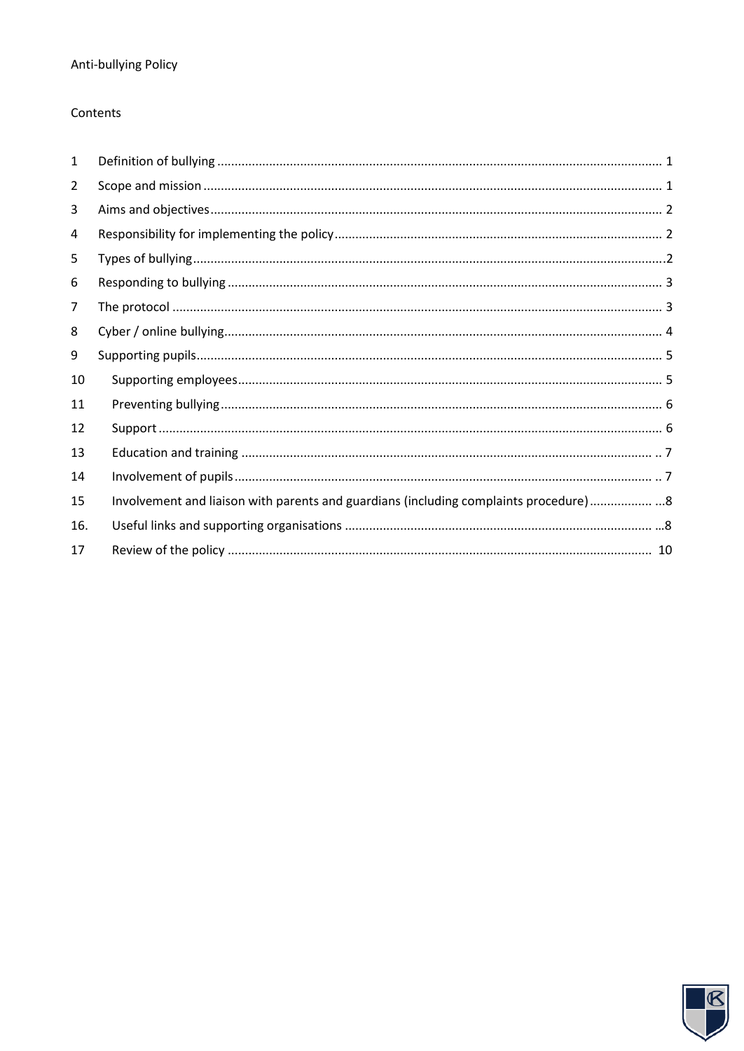## Contents

| 1              |                                                                                        |
|----------------|----------------------------------------------------------------------------------------|
| $\overline{2}$ |                                                                                        |
| 3              |                                                                                        |
| 4              |                                                                                        |
| 5              |                                                                                        |
| 6              |                                                                                        |
| 7              |                                                                                        |
| 8              |                                                                                        |
| 9              |                                                                                        |
| 10             |                                                                                        |
| 11             |                                                                                        |
| 12             |                                                                                        |
| 13             |                                                                                        |
| 14             |                                                                                        |
| 15             | Involvement and liaison with parents and guardians (including complaints procedure)  8 |
| 16.            |                                                                                        |
| 17             |                                                                                        |

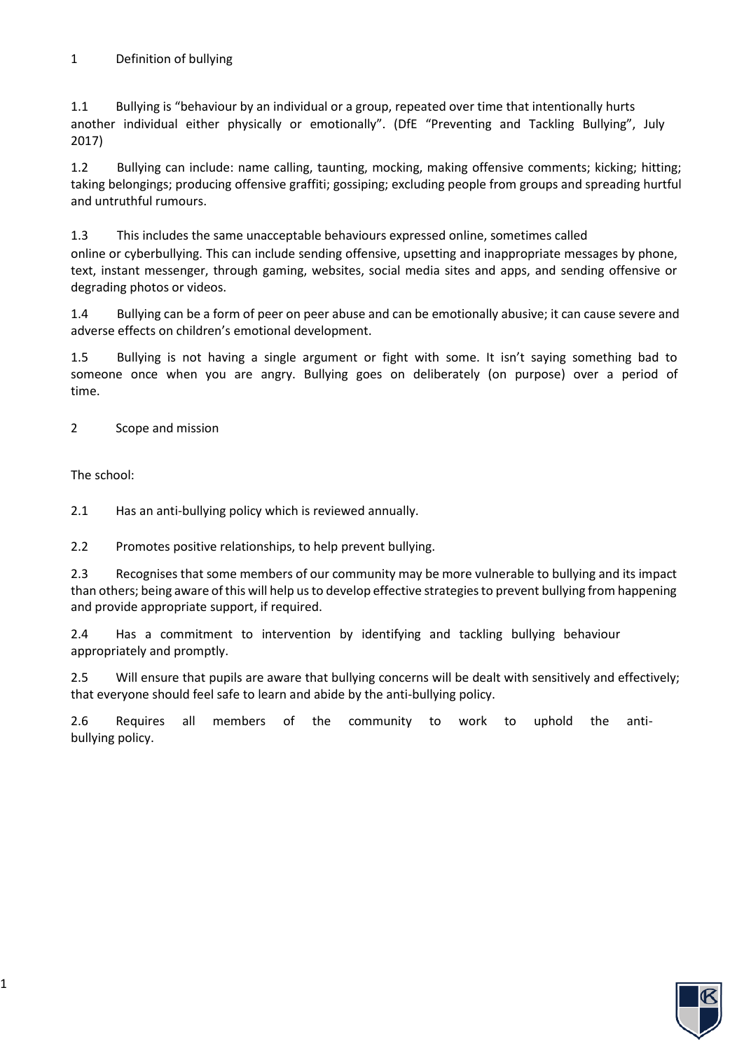1.1 Bullying is "behaviour by an individual or a group, repeated over time that intentionally hurts another individual either physically or emotionally". (DfE "Preventing and Tackling Bullying", July 2017)

1.2 Bullying can include: name calling, taunting, mocking, making offensive comments; kicking; hitting; taking belongings; producing offensive graffiti; gossiping; excluding people from groups and spreading hurtful and untruthful rumours.

1.3 This includes the same unacceptable behaviours expressed online, sometimes called online or cyberbullying. This can include sending offensive, upsetting and inappropriate messages by phone, text, instant messenger, through gaming, websites, social media sites and apps, and sending offensive or degrading photos or videos.

1.4 Bullying can be a form of peer on peer abuse and can be emotionally abusive; it can cause severe and adverse effects on children's emotional development.

1.5 Bullying is not having a single argument or fight with some. It isn't saying something bad to someone once when you are angry. Bullying goes on deliberately (on purpose) over a period of time.

2 Scope and mission

The school:

2.1 Has an anti-bullying policy which is reviewed annually.

2.2 Promotes positive relationships, to help prevent bullying.

2.3 Recognises that some members of our community may be more vulnerable to bullying and its impact than others; being aware of this will help us to develop effective strategies to prevent bullying from happening and provide appropriate support, if required.

2.4 Has a commitment to intervention by identifying and tackling bullying behaviour appropriately and promptly.

2.5 Will ensure that pupils are aware that bullying concerns will be dealt with sensitively and effectively; that everyone should feel safe to learn and abide by the anti-bullying policy.

2.6 Requires all members of the community to work to uphold the antibullying policy.

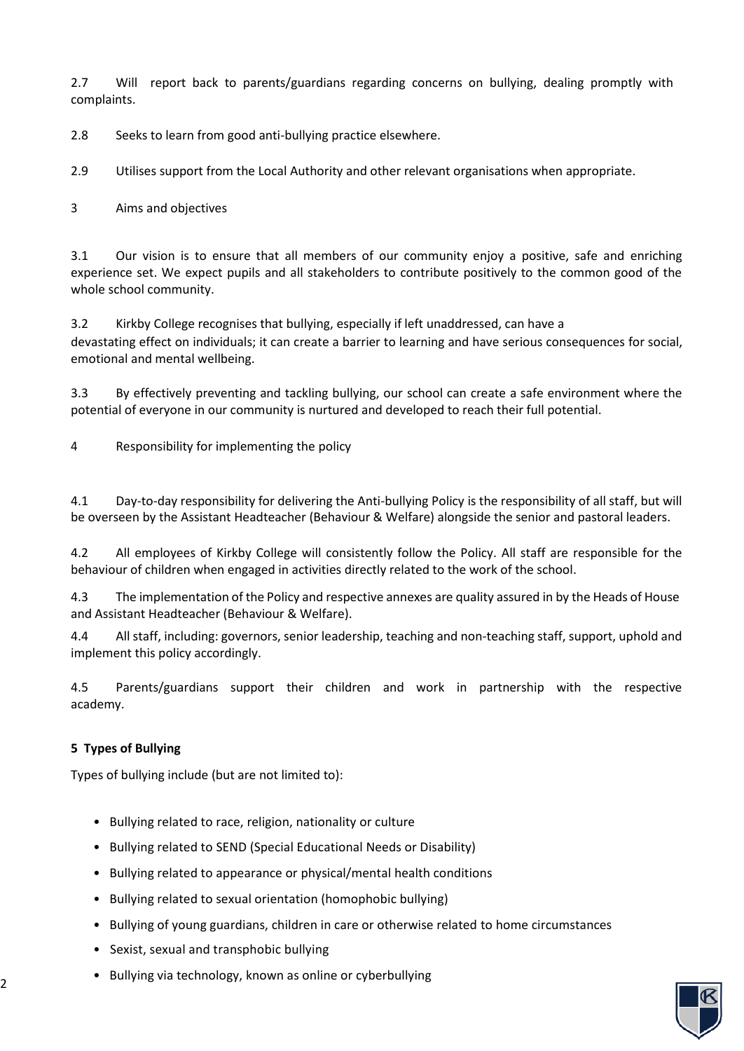2.7 Will report back to parents/guardians regarding concerns on bullying, dealing promptly with complaints.

2.8 Seeks to learn from good anti-bullying practice elsewhere.

2.9 Utilises support from the Local Authority and other relevant organisations when appropriate.

3 Aims and objectives

3.1 Our vision is to ensure that all members of our community enjoy a positive, safe and enriching experience set. We expect pupils and all stakeholders to contribute positively to the common good of the whole school community.

3.2 Kirkby College recognises that bullying, especially if left unaddressed, can have a devastating effect on individuals; it can create a barrier to learning and have serious consequences for social, emotional and mental wellbeing.

3.3 By effectively preventing and tackling bullying, our school can create a safe environment where the potential of everyone in our community is nurtured and developed to reach their full potential.

4 Responsibility for implementing the policy

4.1 Day-to-day responsibility for delivering the Anti-bullying Policy is the responsibility of all staff, but will be overseen by the Assistant Headteacher (Behaviour & Welfare) alongside the senior and pastoral leaders.

4.2 All employees of Kirkby College will consistently follow the Policy. All staff are responsible for the behaviour of children when engaged in activities directly related to the work of the school.

4.3 The implementation of the Policy and respective annexes are quality assured in by the Heads of House and Assistant Headteacher (Behaviour & Welfare).

4.4 All staff, including: governors, senior leadership, teaching and non-teaching staff, support, uphold and implement this policy accordingly.

4.5 Parents/guardians support their children and work in partnership with the respective academy.

## **5 Types of Bullying**

Types of bullying include (but are not limited to):

- Bullying related to race, religion, nationality or culture
- Bullying related to SEND (Special Educational Needs or Disability)
- Bullying related to appearance or physical/mental health conditions
- Bullying related to sexual orientation (homophobic bullying)
- Bullying of young guardians, children in care or otherwise related to home circumstances
- Sexist, sexual and transphobic bullying
- Bullying via technology, known as online or cyberbullying

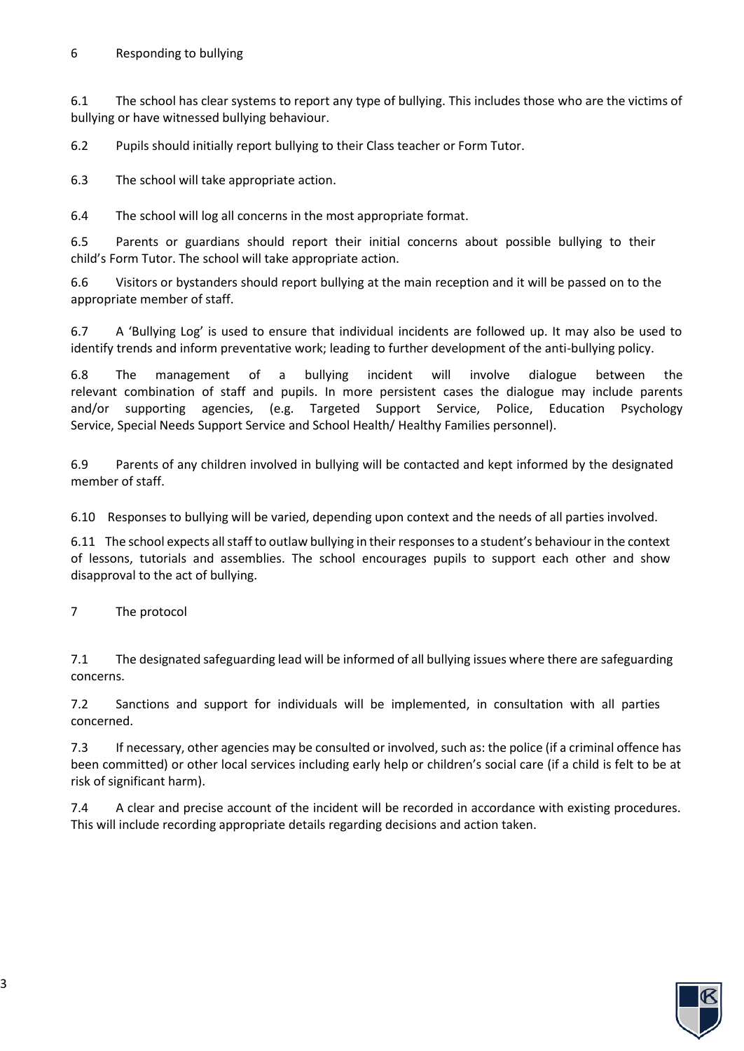6.1 The school has clear systems to report any type of bullying. This includes those who are the victims of bullying or have witnessed bullying behaviour.

6.2 Pupils should initially report bullying to their Class teacher or Form Tutor.

6.3 The school will take appropriate action.

6.4 The school will log all concerns in the most appropriate format.

6.5 Parents or guardians should report their initial concerns about possible bullying to their child's Form Tutor. The school will take appropriate action.

6.6 Visitors or bystanders should report bullying at the main reception and it will be passed on to the appropriate member of staff.

6.7 A 'Bullying Log' is used to ensure that individual incidents are followed up. It may also be used to identify trends and inform preventative work; leading to further development of the anti-bullying policy.

6.8 The management of a bullying incident will involve dialogue between the relevant combination of staff and pupils. In more persistent cases the dialogue may include parents and/or supporting agencies, (e.g. Targeted Support Service, Police, Education Psychology Service, Special Needs Support Service and School Health/ Healthy Families personnel).

6.9 Parents of any children involved in bullying will be contacted and kept informed by the designated member of staff.

6.10 Responses to bullying will be varied, depending upon context and the needs of all parties involved.

6.11 The school expects all staff to outlaw bullying in their responses to a student's behaviour in the context of lessons, tutorials and assemblies. The school encourages pupils to support each other and show disapproval to the act of bullying.

7 The protocol

7.1 The designated safeguarding lead will be informed of all bullying issues where there are safeguarding concerns.

7.2 Sanctions and support for individuals will be implemented, in consultation with all parties concerned.

7.3 If necessary, other agencies may be consulted or involved, such as: the police (if a criminal offence has been committed) or other local services including early help or children's social care (if a child is felt to be at risk of significant harm).

7.4 A clear and precise account of the incident will be recorded in accordance with existing procedures. This will include recording appropriate details regarding decisions and action taken.

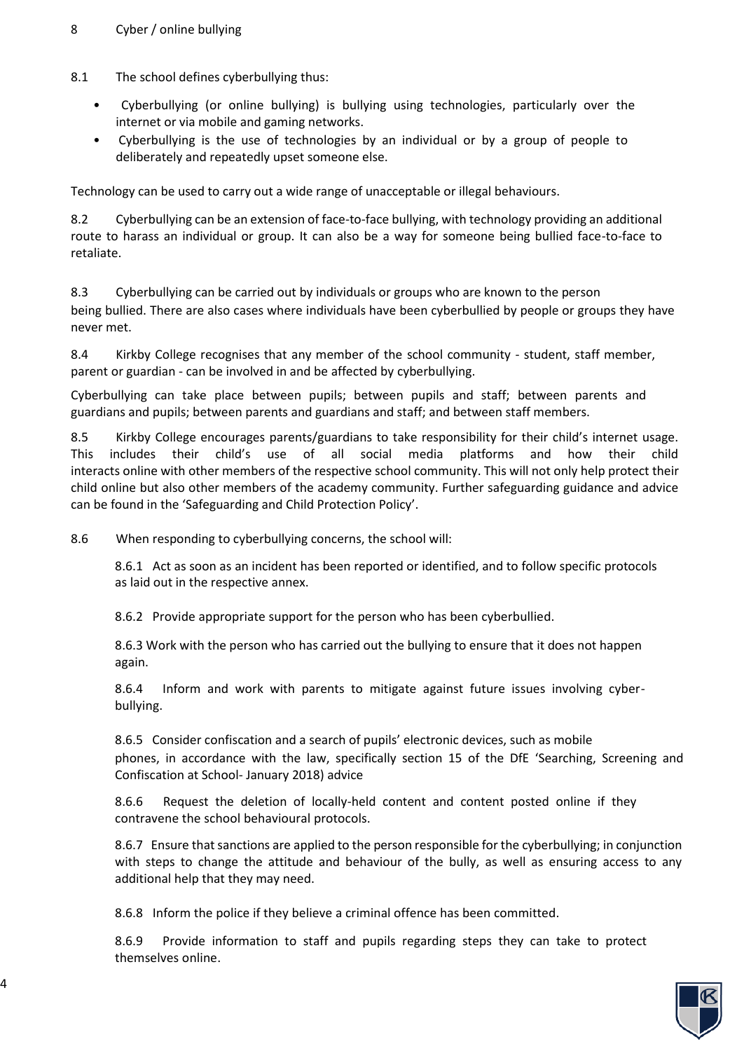- 8.1 The school defines cyberbullying thus:
	- Cyberbullying (or online bullying) is bullying using technologies, particularly over the internet or via mobile and gaming networks.
	- Cyberbullying is the use of technologies by an individual or by a group of people to deliberately and repeatedly upset someone else.

Technology can be used to carry out a wide range of unacceptable or illegal behaviours.

8.2 Cyberbullying can be an extension of face-to-face bullying, with technology providing an additional route to harass an individual or group. It can also be a way for someone being bullied face-to-face to retaliate.

8.3 Cyberbullying can be carried out by individuals or groups who are known to the person being bullied. There are also cases where individuals have been cyberbullied by people or groups they have never met.

8.4 Kirkby College recognises that any member of the school community - student, staff member, parent or guardian - can be involved in and be affected by cyberbullying.

Cyberbullying can take place between pupils; between pupils and staff; between parents and guardians and pupils; between parents and guardians and staff; and between staff members.

8.5 Kirkby College encourages parents/guardians to take responsibility for their child's internet usage. This includes their child's use of all social media platforms and how their child interacts online with other members of the respective school community. This will not only help protect their child online but also other members of the academy community. Further safeguarding guidance and advice can be found in the 'Safeguarding and Child Protection Policy'.

8.6 When responding to cyberbullying concerns, the school will:

8.6.1 Act as soon as an incident has been reported or identified, and to follow specific protocols as laid out in the respective annex.

8.6.2 Provide appropriate support for the person who has been cyberbullied.

8.6.3 Work with the person who has carried out the bullying to ensure that it does not happen again.

8.6.4 Inform and work with parents to mitigate against future issues involving cyberbullying.

8.6.5 Consider confiscation and a search of pupils' electronic devices, such as mobile phones, in accordance with the law, specifically section 15 of the DfE 'Searching, Screening and Confiscation at School- January 2018) advice

8.6.6 Request the deletion of locally-held content and content posted online if they contravene the school behavioural protocols.

8.6.7 Ensure that sanctions are applied to the person responsible for the cyberbullying; in conjunction with steps to change the attitude and behaviour of the bully, as well as ensuring access to any additional help that they may need.

8.6.8 Inform the police if they believe a criminal offence has been committed.

8.6.9 Provide information to staff and pupils regarding steps they can take to protect themselves online.

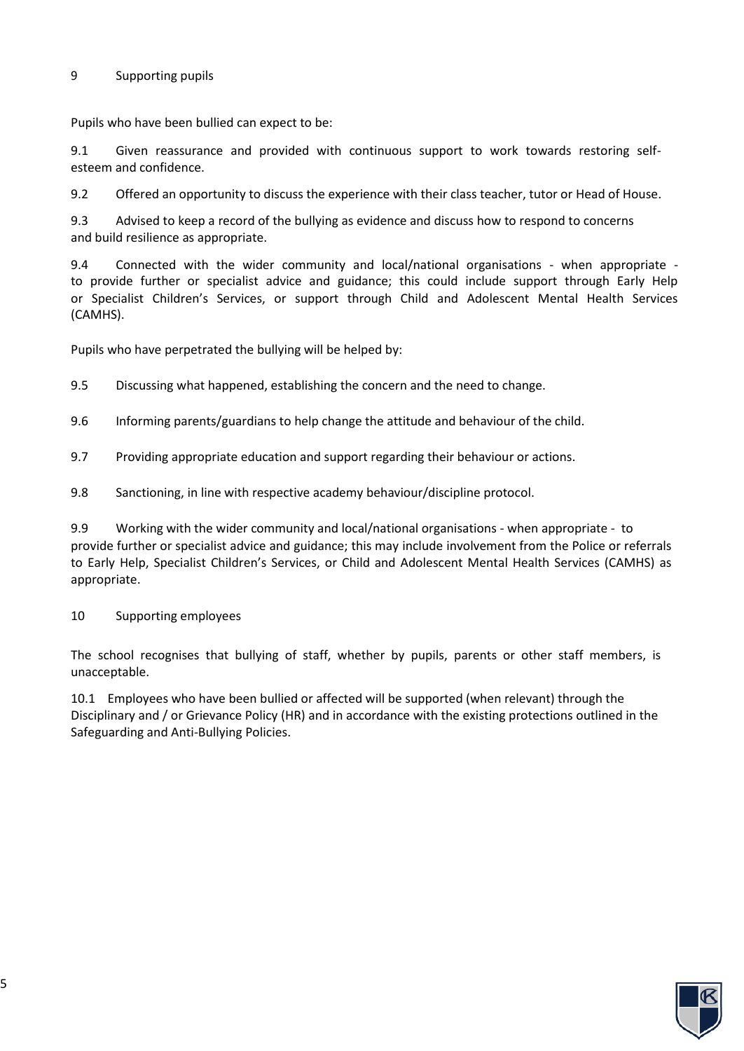#### 9 Supporting pupils

Pupils who have been bullied can expect to be:

9.1 Given reassurance and provided with continuous support to work towards restoring selfesteem and confidence.

9.2 Offered an opportunity to discuss the experience with their class teacher, tutor or Head of House.

9.3 Advised to keep a record of the bullying as evidence and discuss how to respond to concerns and build resilience as appropriate.

9.4 Connected with the wider community and local/national organisations - when appropriate to provide further or specialist advice and guidance; this could include support through Early Help or Specialist Children's Services, or support through Child and Adolescent Mental Health Services (CAMHS).

Pupils who have perpetrated the bullying will be helped by:

9.5 Discussing what happened, establishing the concern and the need to change.

- 9.6 Informing parents/guardians to help change the attitude and behaviour of the child.
- 9.7 Providing appropriate education and support regarding their behaviour or actions.
- 9.8 Sanctioning, in line with respective academy behaviour/discipline protocol.

9.9 Working with the wider community and local/national organisations - when appropriate - to provide further or specialist advice and guidance; this may include involvement from the Police or referrals to Early Help, Specialist Children's Services, or Child and Adolescent Mental Health Services (CAMHS) as appropriate.

10 Supporting employees

The school recognises that bullying of staff, whether by pupils, parents or other staff members, is unacceptable.

10.1 Employees who have been bullied or affected will be supported (when relevant) through the Disciplinary and / or Grievance Policy (HR) and in accordance with the existing protections outlined in the Safeguarding and Anti-Bullying Policies.

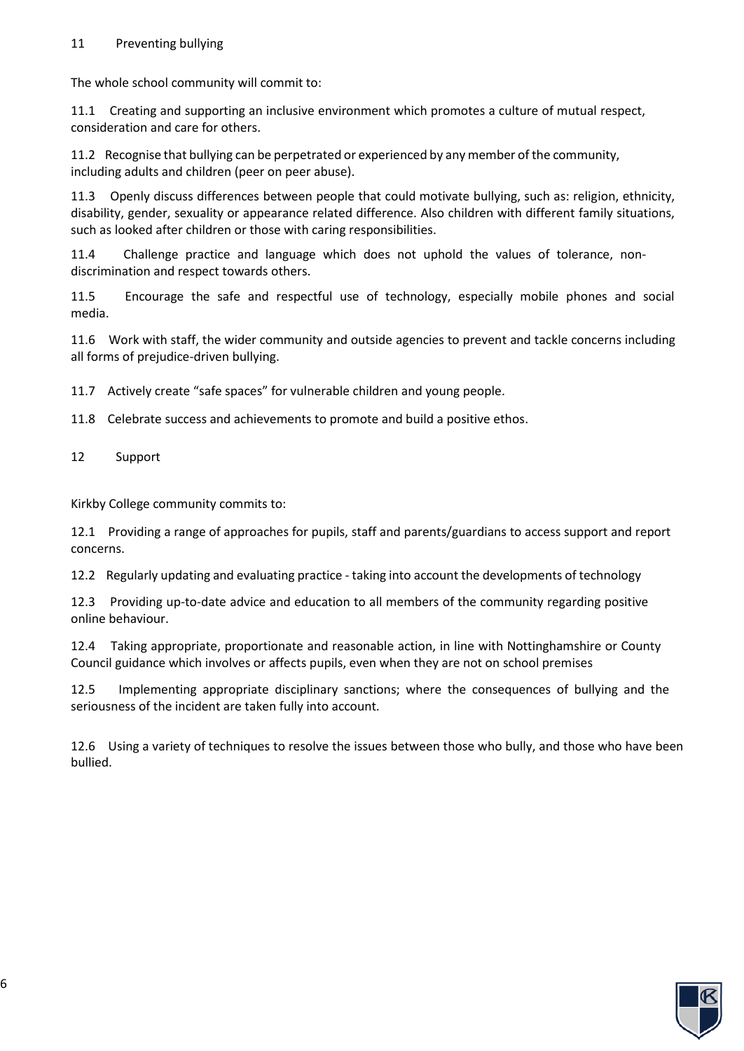#### 11 Preventing bullying

The whole school community will commit to:

11.1 Creating and supporting an inclusive environment which promotes a culture of mutual respect, consideration and care for others.

11.2 Recognise that bullying can be perpetrated or experienced by any member of the community, including adults and children (peer on peer abuse).

11.3 Openly discuss differences between people that could motivate bullying, such as: religion, ethnicity, disability, gender, sexuality or appearance related difference. Also children with different family situations, such as looked after children or those with caring responsibilities.

11.4 Challenge practice and language which does not uphold the values of tolerance, nondiscrimination and respect towards others.

11.5 Encourage the safe and respectful use of technology, especially mobile phones and social media.

11.6 Work with staff, the wider community and outside agencies to prevent and tackle concerns including all forms of prejudice-driven bullying.

11.7 Actively create "safe spaces" for vulnerable children and young people.

11.8 Celebrate success and achievements to promote and build a positive ethos.

12 Support

Kirkby College community commits to:

12.1 Providing a range of approaches for pupils, staff and parents/guardians to access support and report concerns.

12.2 Regularly updating and evaluating practice - taking into account the developments of technology

12.3 Providing up-to-date advice and education to all members of the community regarding positive online behaviour.

12.4 Taking appropriate, proportionate and reasonable action, in line with Nottinghamshire or County Council guidance which involves or affects pupils, even when they are not on school premises

12.5 Implementing appropriate disciplinary sanctions; where the consequences of bullying and the seriousness of the incident are taken fully into account.

12.6 Using a variety of techniques to resolve the issues between those who bully, and those who have been bullied.

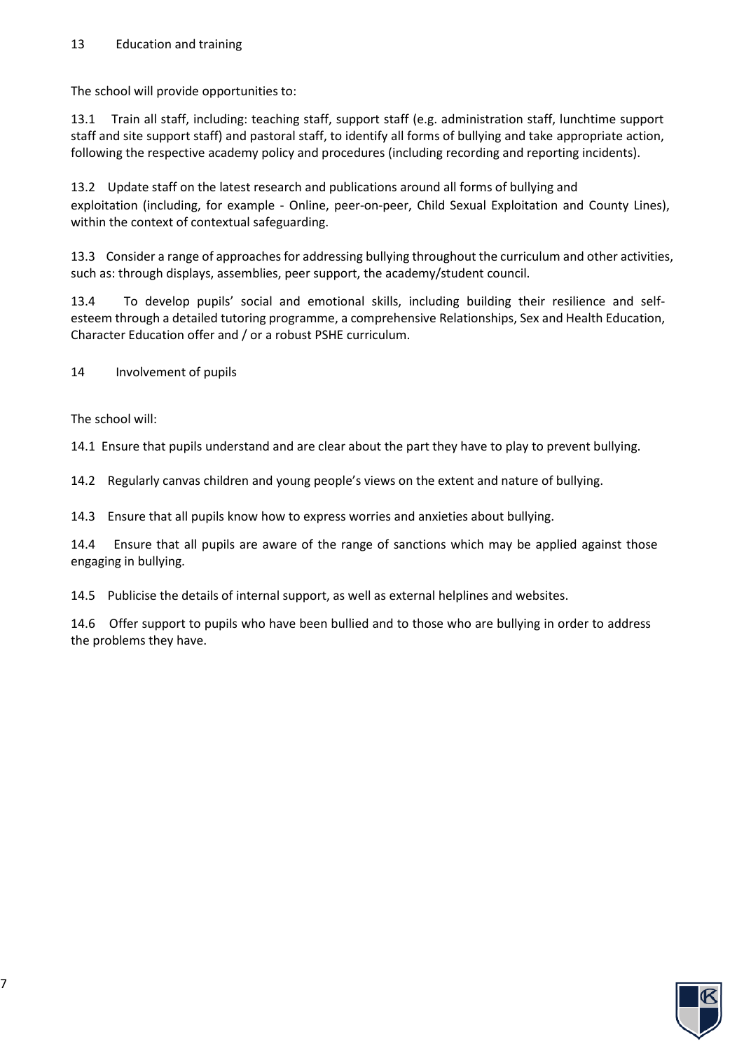The school will provide opportunities to:

13.1 Train all staff, including: teaching staff, support staff (e.g. administration staff, lunchtime support staff and site support staff) and pastoral staff, to identify all forms of bullying and take appropriate action, following the respective academy policy and procedures (including recording and reporting incidents).

13.2 Update staff on the latest research and publications around all forms of bullying and exploitation (including, for example - Online, peer-on-peer, Child Sexual Exploitation and County Lines), within the context of contextual safeguarding.

13.3 Consider a range of approaches for addressing bullying throughout the curriculum and other activities, such as: through displays, assemblies, peer support, the academy/student council.

13.4 To develop pupils' social and emotional skills, including building their resilience and selfesteem through a detailed tutoring programme, a comprehensive Relationships, Sex and Health Education, Character Education offer and / or a robust PSHE curriculum.

14 Involvement of pupils

The school will:

14.1 Ensure that pupils understand and are clear about the part they have to play to prevent bullying.

14.2 Regularly canvas children and young people's views on the extent and nature of bullying.

14.3 Ensure that all pupils know how to express worries and anxieties about bullying.

14.4 Ensure that all pupils are aware of the range of sanctions which may be applied against those engaging in bullying.

14.5 Publicise the details of internal support, as well as external helplines and websites.

14.6 Offer support to pupils who have been bullied and to those who are bullying in order to address the problems they have.

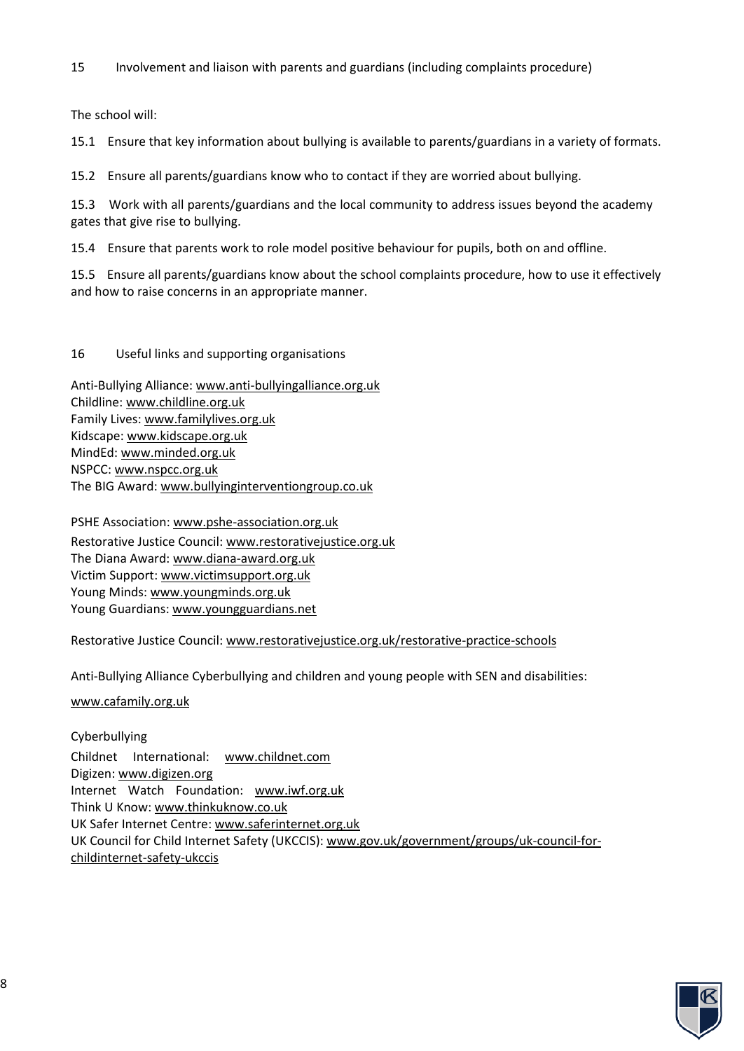15 Involvement and liaison with parents and guardians (including complaints procedure)

The school will:

15.1 Ensure that key information about bullying is available to parents/guardians in a variety of formats.

15.2 Ensure all parents/guardians know who to contact if they are worried about bullying.

15.3 Work with all parents/guardians and the local community to address issues beyond the academy gates that give rise to bullying.

15.4 Ensure that parents work to role model positive behaviour for pupils, both on and offline.

15.5 Ensure all parents/guardians know about the school complaints procedure, how to use it effectively and how to raise concerns in an appropriate manner.

16 Useful links and supporting organisations

Anti-Bullying Alliance[: www.anti-bullyingalliance.org.uk](http://www.anti-bullyingalliance.org.uk/)  Childline: [www.childline.org.uk](http://www.childline.org.uk/) Family Lives[: www.familylives.org.uk](http://www.familylives.org.uk/)  Kidscape[: www.kidscape.org.uk](http://www.kidscape.org.uk/)  MindEd[: www.minded.org.uk](http://www.minded.org.uk/)  NSPCC[: www.nspcc.org.uk](http://www.nspcc.org.uk/) The BIG Award[: www.bullyinginterventiongroup.co.uk](http://www.bullyinginterventiongroup.co.uk/)

PSHE Association[: www.pshe-association.org.uk](http://www.pshe-association.org.uk/) Restorative Justice Council: [www.restorativejustice.org.uk](http://www.restorativejustice.org.uk/)  The Diana Award: [www.diana-award.org.uk](http://www.diana-award.org.uk/)  Victim Support[: www.victimsupport.org.uk](http://www.victimsupport.org.uk/)  Young Minds: [www.youngminds.org.uk](http://www.youngminds.org.uk/)  Young Guardians: [www.youngguardians.net](http://www.youngguardians.net/)

Restorative Justice Council: [www.restorativejustice.org.uk/restorative-practice-schools](http://www.restorativejustice.org.uk/restorative-practice-schools)

Anti-Bullying Alliance Cyberbullying and children and young people with SEN and disabilities:

[www.cafamily.org.uk](http://www.cafamily.org.uk/)

Cyberbullying Childnet International: [www.childnet.com](http://www.childnet.com/)  Digizen[: www.digizen.org](http://www.digizen.org/) Internet Watch Foundation: [www.iwf.org.uk](http://www.iwf.org.uk/)  Think U Know[: www.thinkuknow.co.uk](http://www.thinkuknow.co.uk/) UK Safer Internet Centre: [www.saferinternet.org.uk](http://www.saferinternet.org.uk/) UK Council for Child Internet Safety (UKCCIS)[: www.gov.uk/government/groups/uk-council-for](http://www.gov.uk/government/groups/uk-council-for-childinternet-safety-ukccis)[childinternet-safety-ukccis](http://www.gov.uk/government/groups/uk-council-for-childinternet-safety-ukccis)

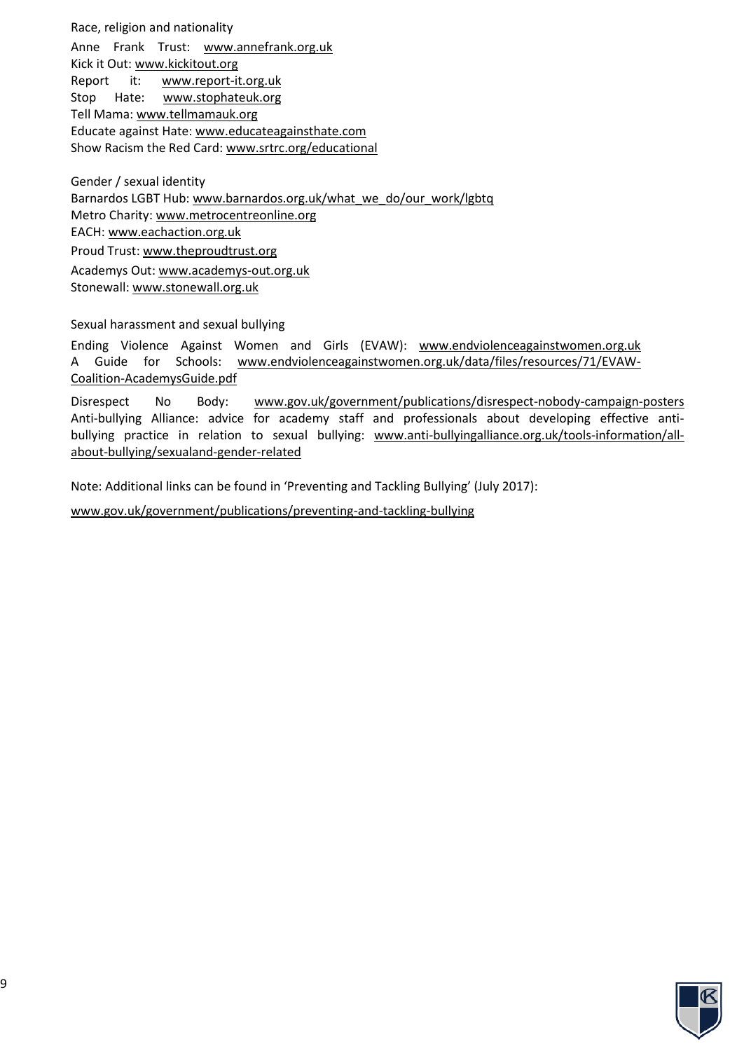Race, religion and nationality Anne Frank Trust: [www.annefrank.org.uk](http://www.annefrank.org.uk/)  Kick it Out: [www.kickitout.org](http://www.kickitout.org/) Report it: [www.report-it.org.uk](http://www.report-it.org.uk/)  Stop Hate: [www.stophateuk.org](http://www.stophateuk.org/)  Tell Mama: [www.tellmamauk.org](http://www.tellmamauk.org/) Educate against Hate: [www.educateagainsthate.com](http://www.educateagainsthate.com/)  Show Racism the Red Card: [www.srtrc.org/educational](http://www.srtrc.org/educational) 

Gender / sexual identity Barnardos LGBT Hub: www.barnardos.org.uk/what\_we\_do/our\_work/lgbtq Metro Charity[: www.metrocentreonline.org](http://www.metrocentreonline.org/) EACH[: www.eachaction.org.uk](http://www.eachaction.org.uk/) Proud Trust[: www.theproudtrust.org](http://www.theproudtrust.org/) Academys Out: www.academys-out.org.uk Stonewall: [www.stonewall.org.uk](http://www.stonewall.org.uk/) 

Sexual harassment and sexual bullying

Ending Violence Against Women and Girls (EVAW): [www.endviolenceagainstwomen.org.uk](http://www.endviolenceagainstwomen.org.uk/)  A Guide for Schools: [www.endviolenceagainstwomen.org.uk/data/files/resources/71/EVAW-](http://www.endviolenceagainstwomen.org.uk/data/files/resources/71/EVAW-%20Coalition-AcademysGuide.pdf)[Coalition-AcademysGuide.pdf](http://www.endviolenceagainstwomen.org.uk/data/files/resources/71/EVAW-%20Coalition-AcademysGuide.pdf)

Disrespect No Body: [www.gov.uk/government/publications/disrespect-nobody-campaign-posters](http://www.gov.uk/government/publications/disrespect-nobody-campaign-posters)  Anti-bullying Alliance: advice for academy staff and professionals about developing effective antibullying practice in relation to sexual bullying: [www.anti-bullyingalliance.org.uk/tools-information/all](http://www.anti-bullyingalliance.org.uk/tools-information/all-about-bullying/sexualand-gender-related)[about-bullying/sexualand-gender-related](http://www.anti-bullyingalliance.org.uk/tools-information/all-about-bullying/sexualand-gender-related)

Note: Additional links can be found in 'Preventing and Tackling Bullying' (July 2017):

[www.gov.uk/government/publications/preventing-and-tackling-bullying](http://www.gov.uk/government/publications/preventing-and-tackling-bullying)